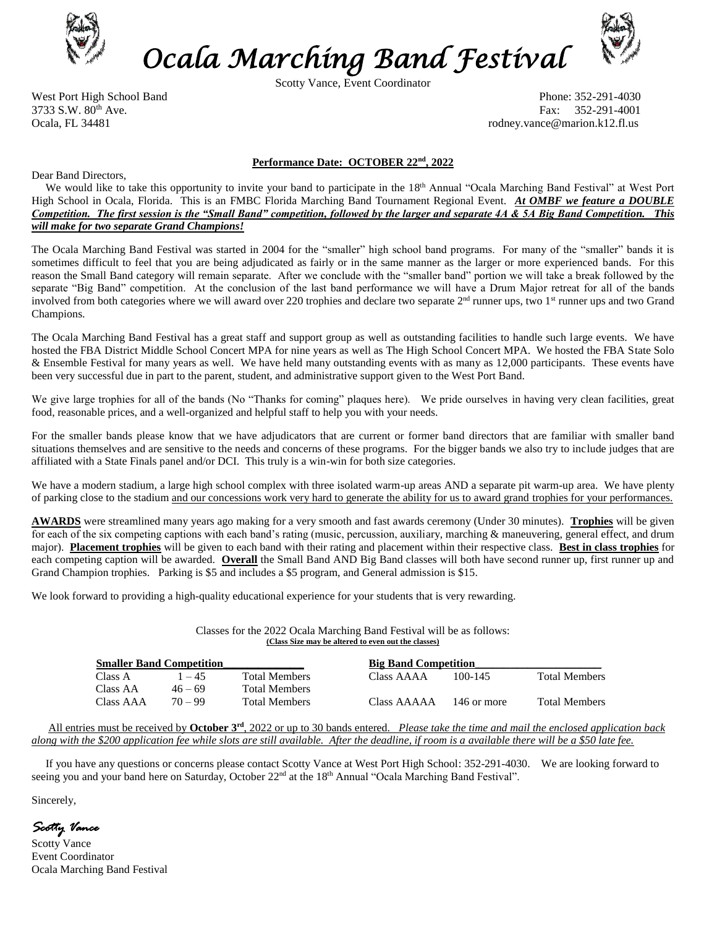

*Ocala Marching Band Festival*

Scotty Vance, Event Coordinator



West Port High School Band Phone: 352-291-4030 3733 S.W. 80th Ave. Fax: 352-291-4001 Ocala, FL 34481 rodney.vance@marion.k12.fl.us

### **Performance Date: OCTOBER 22 nd, 2022**

Dear Band Directors,

We would like to take this opportunity to invite your band to participate in the 18<sup>th</sup> Annual "Ocala Marching Band Festival" at West Port High School in Ocala, Florida. This is an FMBC Florida Marching Band Tournament Regional Event. *At OMBF we feature a DOUBLE Competition. The first session is the "Small Band" competition, followed by the larger and separate 4A & 5A Big Band Competition. This will make for two separate Grand Champions!*

The Ocala Marching Band Festival was started in 2004 for the "smaller" high school band programs. For many of the "smaller" bands it is sometimes difficult to feel that you are being adjudicated as fairly or in the same manner as the larger or more experienced bands. For this reason the Small Band category will remain separate. After we conclude with the "smaller band" portion we will take a break followed by the separate "Big Band" competition. At the conclusion of the last band performance we will have a Drum Major retreat for all of the bands involved from both categories where we will award over 220 trophies and declare two separate  $2<sup>nd</sup>$  runner ups, two 1<sup>st</sup> runner ups and two Grand Champions.

The Ocala Marching Band Festival has a great staff and support group as well as outstanding facilities to handle such large events. We have hosted the FBA District Middle School Concert MPA for nine years as well as The High School Concert MPA. We hosted the FBA State Solo & Ensemble Festival for many years as well. We have held many outstanding events with as many as 12,000 participants. These events have been very successful due in part to the parent, student, and administrative support given to the West Port Band.

We give large trophies for all of the bands (No "Thanks for coming" plaques here). We pride ourselves in having very clean facilities, great food, reasonable prices, and a well-organized and helpful staff to help you with your needs.

For the smaller bands please know that we have adjudicators that are current or former band directors that are familiar with smaller band situations themselves and are sensitive to the needs and concerns of these programs. For the bigger bands we also try to include judges that are affiliated with a State Finals panel and/or DCI. This truly is a win-win for both size categories.

We have a modern stadium, a large high school complex with three isolated warm-up areas AND a separate pit warm-up area. We have plenty of parking close to the stadium and our concessions work very hard to generate the ability for us to award grand trophies for your performances.

**AWARDS** were streamlined many years ago making for a very smooth and fast awards ceremony (Under 30 minutes). **Trophies** will be given for each of the six competing captions with each band's rating (music, percussion, auxiliary, marching & maneuvering, general effect, and drum major). **Placement trophies** will be given to each band with their rating and placement within their respective class. **Best in class trophies** for each competing caption will be awarded. **Overall** the Small Band AND Big Band classes will both have second runner up, first runner up and Grand Champion trophies. Parking is \$5 and includes a \$5 program, and General admission is \$15.

We look forward to providing a high-quality educational experience for your students that is very rewarding.

Classes for the 2022 Ocala Marching Band Festival will be as follows: **(Class Size may be altered to even out the classes)**

| <b>Smaller Band Competition</b> |           |                      | <b>Big Band Competition</b> |             |                      |  |  |
|---------------------------------|-----------|----------------------|-----------------------------|-------------|----------------------|--|--|
| Class A                         | $-45$     | <b>Total Members</b> | Class AAAA                  | 100-145     | <b>Total Members</b> |  |  |
| Class AA                        | $46 - 69$ | <b>Total Members</b> |                             |             |                      |  |  |
| Class AAA                       | $70 - 99$ | <b>Total Members</b> | Class AAAAA                 | 146 or more | <b>Total Members</b> |  |  |

 All entries must be received by **October 3 rd**, 2022 or up to 30 bands entered. *Please take the time and mail the enclosed application back along with the \$200 application fee while slots are still available. After the deadline, if room is a available there will be a \$50 late fee.*

 If you have any questions or concerns please contact Scotty Vance at West Port High School: 352-291-4030. We are looking forward to seeing you and your band here on Saturday, October 22<sup>nd</sup> at the 18<sup>th</sup> Annual "Ocala Marching Band Festival".

Sincerely,

*Scotty Vance* 

Scotty Vance Event Coordinator Ocala Marching Band Festival